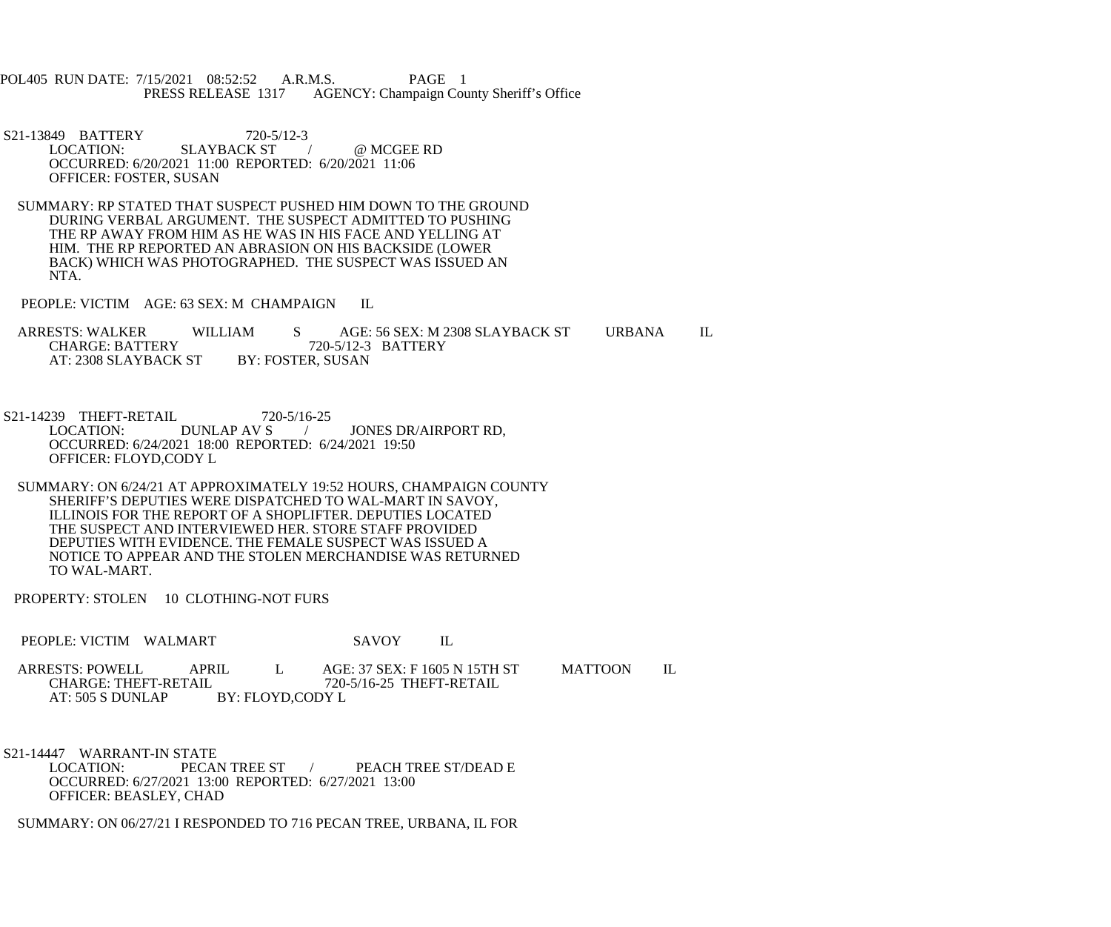POL405 RUN DATE: 7/15/2021 08:52:52 A.R.M.S. PAGE 1<br>PRESS RELEASE 1317 AGENCY: Champaign Cou AGENCY: Champaign County Sheriff's Office

S21-13849 BATTERY 720-5/12-3<br>LOCATION: SLAYBACK ST SLAYBACK ST / @ MCGEE RD OCCURRED: 6/20/2021 11:00 REPORTED: 6/20/2021 11:06 OFFICER: FOSTER, SUSAN

 SUMMARY: RP STATED THAT SUSPECT PUSHED HIM DOWN TO THE GROUND DURING VERBAL ARGUMENT. THE SUSPECT ADMITTED TO PUSHING THE RP AWAY FROM HIM AS HE WAS IN HIS FACE AND YELLING AT HIM. THE RP REPORTED AN ABRASION ON HIS BACKSIDE (LOWER BACK) WHICH WAS PHOTOGRAPHED. THE SUSPECT WAS ISSUED AN NTA.

PEOPLE: VICTIM AGE: 63 SEX: M CHAMPAIGN IL

ARRESTS: WALKER WILLIAM S AGE: 56 SEX: M 2308 SLAYBACK ST URBANA IL CHARGE: BATTERY 720-5/12-3 BATTERY 720-5/12-3 BATTERY<br>BY: FOSTER, SUSAN AT: 2308 SLAYBACK ST

S21-14239 THEFT-RETAIL 720-5/16-25<br>LOCATION: DUNLAP AV S JONES DR/AIRPORT RD, OCCURRED: 6/24/2021 18:00 REPORTED: 6/24/2021 19:50 OFFICER: FLOYD,CODY L

 SUMMARY: ON 6/24/21 AT APPROXIMATELY 19:52 HOURS, CHAMPAIGN COUNTY SHERIFF'S DEPUTIES WERE DISPATCHED TO WAL-MART IN SAVOY, ILLINOIS FOR THE REPORT OF A SHOPLIFTER. DEPUTIES LOCATED THE SUSPECT AND INTERVIEWED HER. STORE STAFF PROVIDED DEPUTIES WITH EVIDENCE. THE FEMALE SUSPECT WAS ISSUED A NOTICE TO APPEAR AND THE STOLEN MERCHANDISE WAS RETURNED TO WAL-MART.

PROPERTY: STOLEN 10 CLOTHING-NOT FURS

PEOPLE: VICTIM WALMART SAVOY IL

ARRESTS: POWELL APRIL L AGE: 37 SEX: F 1605 N 15TH ST MATTOON IL<br>CHARGE: THEFT-RETAIL 720-5/16-25 THEFT-RETAIL CHARGE: THEFT-RETAIL 720-5/16-25 THEFT-RETAIL<br>AT: 505 S DUNLAP BY: FLOYD.CODY L BY: FLOYD,CODY L

S21-14447 WARRANT-IN STATE<br>LOCATION: PECAN TREE ST / PEACH TREE ST/DEAD E OCCURRED: 6/27/2021 13:00 REPORTED: 6/27/2021 13:00 OFFICER: BEASLEY, CHAD

SUMMARY: ON 06/27/21 I RESPONDED TO 716 PECAN TREE, URBANA, IL FOR